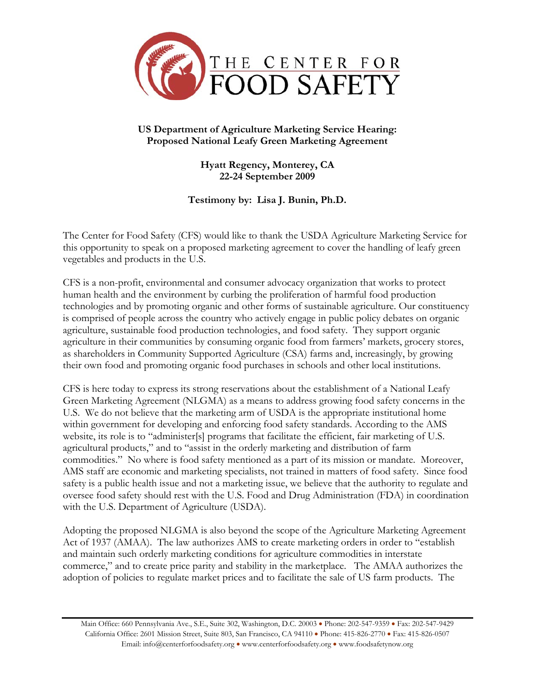

## **US Department of Agriculture Marketing Service Hearing: Proposed National Leafy Green Marketing Agreement**

**Hyatt Regency, Monterey, CA 22-24 September 2009** 

**Testimony by: Lisa J. Bunin, Ph.D.** 

The Center for Food Safety (CFS) would like to thank the USDA Agriculture Marketing Service for this opportunity to speak on a proposed marketing agreement to cover the handling of leafy green vegetables and products in the U.S.

CFS is a non-profit, environmental and consumer advocacy organization that works to protect human health and the environment by curbing the proliferation of harmful food production technologies and by promoting organic and other forms of sustainable agriculture. Our constituency is comprised of people across the country who actively engage in public policy debates on organic agriculture, sustainable food production technologies, and food safety. They support organic agriculture in their communities by consuming organic food from farmers' markets, grocery stores, as shareholders in Community Supported Agriculture (CSA) farms and, increasingly, by growing their own food and promoting organic food purchases in schools and other local institutions.

CFS is here today to express its strong reservations about the establishment of a National Leafy Green Marketing Agreement (NLGMA) as a means to address growing food safety concerns in the U.S. We do not believe that the marketing arm of USDA is the appropriate institutional home within government for developing and enforcing food safety standards. According to the AMS website, its role is to "administer[s] programs that facilitate the efficient, fair marketing of U.S. agricultural products," and to "assist in the orderly marketing and distribution of farm commodities." No where is food safety mentioned as a part of its mission or mandate. Moreover, AMS staff are economic and marketing specialists, not trained in matters of food safety. Since food safety is a public health issue and not a marketing issue, we believe that the authority to regulate and oversee food safety should rest with the U.S. Food and Drug Administration (FDA) in coordination with the U.S. Department of Agriculture (USDA).

Adopting the proposed NLGMA is also beyond the scope of the Agriculture Marketing Agreement Act of 1937 (AMAA). The law authorizes AMS to create marketing orders in order to "establish and maintain such orderly marketing conditions for agriculture commodities in interstate commerce," and to create price parity and stability in the marketplace. The AMAA authorizes the adoption of policies to regulate market prices and to facilitate the sale of US farm products. The

Main Office: 660 Pennsylvania Ave., S.E., Suite 302, Washington, D.C. 20003 • Phone: 202-547-9359 • Fax: 202-547-9429 California Office: 2601 Mission Street, Suite 803, San Francisco, CA 94110 • Phone: 415-826-2770 • Fax: 415-826-0507 Email: info@centerforfoodsafety.org • www.centerforfoodsafety.org • www.foodsafetynow.org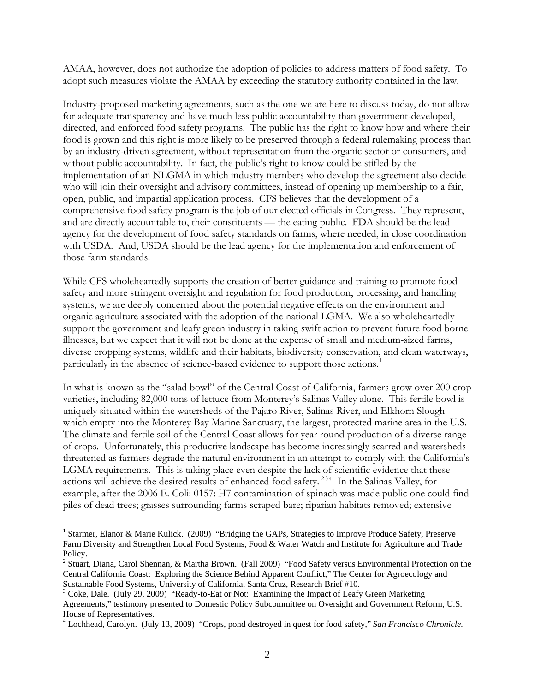AMAA, however, does not authorize the adoption of policies to address matters of food safety. To adopt such measures violate the AMAA by exceeding the statutory authority contained in the law.

Industry-proposed marketing agreements, such as the one we are here to discuss today, do not allow for adequate transparency and have much less public accountability than government-developed, directed, and enforced food safety programs. The public has the right to know how and where their food is grown and this right is more likely to be preserved through a federal rulemaking process than by an industry-driven agreement, without representation from the organic sector or consumers, and without public accountability. In fact, the public's right to know could be stifled by the implementation of an NLGMA in which industry members who develop the agreement also decide who will join their oversight and advisory committees, instead of opening up membership to a fair, open, public, and impartial application process. CFS believes that the development of a comprehensive food safety program is the job of our elected officials in Congress. They represent, and are directly accountable to, their constituents — the eating public. FDA should be the lead agency for the development of food safety standards on farms, where needed, in close coordination with USDA. And, USDA should be the lead agency for the implementation and enforcement of those farm standards.

While CFS wholeheartedly supports the creation of better guidance and training to promote food safety and more stringent oversight and regulation for food production, processing, and handling systems, we are deeply concerned about the potential negative effects on the environment and organic agriculture associated with the adoption of the national LGMA. We also wholeheartedly support the government and leafy green industry in taking swift action to prevent future food borne illnesses, but we expect that it will not be done at the expense of small and medium-sized farms, diverse cropping systems, wildlife and their habitats, biodiversity conservation, and clean waterways, particularly in the absence of science-based evidence to support those actions.<sup>[1](#page-1-0)</sup>

In what is known as the "salad bowl" of the Central Coast of California, farmers grow over 200 crop varieties, including 82,000 tons of lettuce from Monterey's Salinas Valley alone. This fertile bowl is uniquely situated within the watersheds of the Pajaro River, Salinas River, and Elkhorn Slough which empty into the Monterey Bay Marine Sanctuary, the largest, protected marine area in the U.S. The climate and fertile soil of the Central Coast allows for year round production of a diverse range of crops. Unfortunately, this productive landscape has become increasingly scarred and watersheds threatened as farmers degrade the natural environment in an attempt to comply with the California's LGMA requirements. This is taking place even despite the lack of scientific evidence that these actions will achieve the desired results of enhanced food safety.<sup>[2](#page-1-1)[3](#page-1-2)[4](#page-1-3)</sup> In the Salinas Valley, for example, after the 2006 E. Coli: 0157: H7 contamination of spinach was made public one could find piles of dead trees; grasses surrounding farms scraped bare; riparian habitats removed; extensive

 $\overline{a}$ 

<span id="page-1-0"></span><sup>&</sup>lt;sup>1</sup> Starmer, Elanor & Marie Kulick. (2009) "Bridging the GAPs, Strategies to Improve Produce Safety, Preserve Farm Diversity and Strengthen Local Food Systems, Food & Water Watch and Institute for Agriculture and Trade Policy.

<span id="page-1-1"></span><sup>&</sup>lt;sup>2</sup> Stuart, Diana, Carol Shennan, & Martha Brown. (Fall 2009) "Food Safety versus Environmental Protection on the Central California Coast: Exploring the Science Behind Apparent Conflict," The Center for Agroecology and Sustainable Food Systems, University of California, Santa Cruz, Research Brief #10.

<span id="page-1-2"></span><sup>&</sup>lt;sup>3</sup> Coke, Dale. (July 29, 2009) "Ready-to-Eat or Not: Examining the Impact of Leafy Green Marketing Agreements," testimony presented to Domestic Policy Subcommittee on Oversight and Government Reform, U.S. House of Representatives.

<span id="page-1-3"></span><sup>4</sup> Lochhead, Carolyn. (July 13, 2009) "Crops, pond destroyed in quest for food safety," *San Francisco Chronicle.*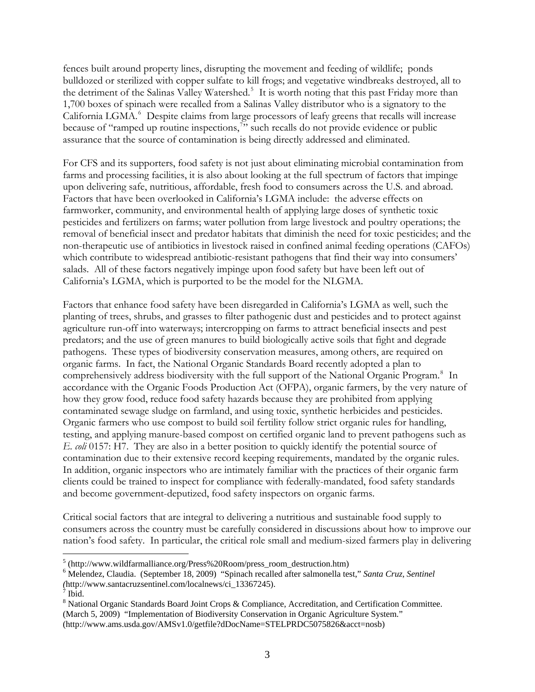fences built around property lines, disrupting the movement and feeding of wildlife; ponds bulldozed or sterilized with copper sulfate to kill frogs; and vegetative windbreaks destroyed, all to the detriment of the Salinas Valley Watershed.<sup>[5](#page-2-0)</sup> It is worth noting that this past Friday more than 1,700 boxes of spinach were recalled from a Salinas Valley distributor who is a signatory to the California LGMA.<sup>[6](#page-2-1)</sup> Despite claims from large processors of leafy greens that recalls will increase because of "ramped up routine inspections," such recalls do not provide evidence or public assurance that the source of contamination is being directly addressed and eliminated.

For CFS and its supporters, food safety is not just about eliminating microbial contamination from farms and processing facilities, it is also about looking at the full spectrum of factors that impinge upon delivering safe, nutritious, affordable, fresh food to consumers across the U.S. and abroad. Factors that have been overlooked in California's LGMA include: the adverse effects on farmworker, community, and environmental health of applying large doses of synthetic toxic pesticides and fertilizers on farms; water pollution from large livestock and poultry operations; the removal of beneficial insect and predator habitats that diminish the need for toxic pesticides; and the non-therapeutic use of antibiotics in livestock raised in confined animal feeding operations (CAFOs) which contribute to widespread antibiotic-resistant pathogens that find their way into consumers' salads. All of these factors negatively impinge upon food safety but have been left out of California's LGMA, which is purported to be the model for the NLGMA.

Factors that enhance food safety have been disregarded in California's LGMA as well, such the planting of trees, shrubs, and grasses to filter pathogenic dust and pesticides and to protect against agriculture run-off into waterways; intercropping on farms to attract beneficial insects and pest predators; and the use of green manures to build biologically active soils that fight and degrade pathogens. These types of biodiversity conservation measures, among others, are required on organic farms. In fact, the National Organic Standards Board recently adopted a plan to comprehensively address biodiversity with the full support of the National Organic Program.<sup>[8](#page-2-3)</sup> In accordance with the Organic Foods Production Act (OFPA), organic farmers, by the very nature of how they grow food, reduce food safety hazards because they are prohibited from applying contaminated sewage sludge on farmland, and using toxic, synthetic herbicides and pesticides. Organic farmers who use compost to build soil fertility follow strict organic rules for handling, testing, and applying manure-based compost on certified organic land to prevent pathogens such as *E. coli* 0157: H7. They are also in a better position to quickly identify the potential source of contamination due to their extensive record keeping requirements, mandated by the organic rules. In addition, organic inspectors who are intimately familiar with the practices of their organic farm clients could be trained to inspect for compliance with federally-mandated, food safety standards and become government-deputized, food safety inspectors on organic farms.

Critical social factors that are integral to delivering a nutritious and sustainable food supply to consumers across the country must be carefully considered in discussions about how to improve our nation's food safety. In particular, the critical role small and medium-sized farmers play in delivering

 $\overline{a}$ 

<span id="page-2-0"></span> $<sup>5</sup>$  (http://www.wildfarmalliance.org/Press%20Room/press\_room\_destruction.htm)</sup>

<span id="page-2-1"></span><sup>6</sup> Melendez, Claudia. (September 18, 2009) "Spinach recalled after salmonella test," *Santa Cruz, Sentinel (*http://www.santacruzsentinel.com/localnews/ci\_13367245).

 $\overline{7}$  Ibid.

<span id="page-2-3"></span><span id="page-2-2"></span><sup>&</sup>lt;sup>8</sup> National Organic Standards Board Joint Crops & Compliance, Accreditation, and Certification Committee. (March 5, 2009) "Implementation of Biodiversity Conservation in Organic Agriculture System." (http://www.ams.usda.gov/AMSv1.0/getfile?dDocName=STELPRDC5075826&acct=nosb)